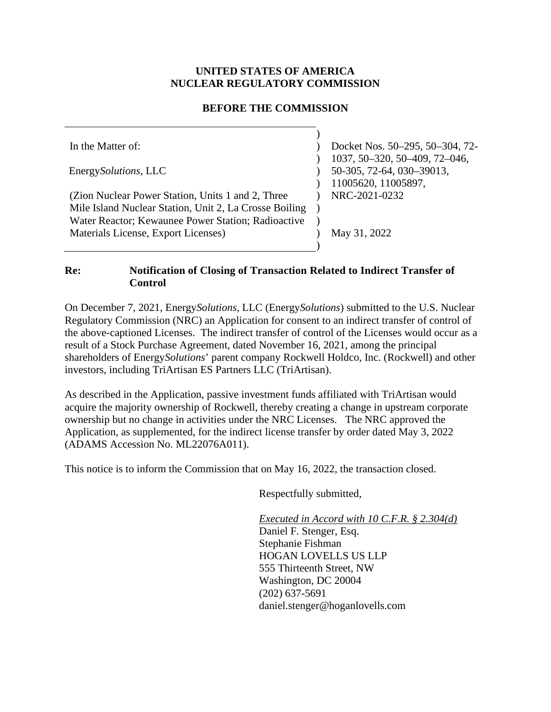# **UNITED STATES OF AMERICA NUCLEAR REGULATORY COMMISSION**

# **BEFORE THE COMMISSION**

In the Matter of: Energy*Solutions,* LLC (Zion Nuclear Power Station, Units 1 and 2, Three Mile Island Nuclear Station, Unit 2, La Crosse Boiling Water Reactor; Kewaunee Power Station; Radioactive Materials License, Export Licenses) )  $\lambda$  $\overline{)}$  $\mathcal{L}$  $\mathcal{L}$  $\mathcal{L}$ )  $\lambda$  $\lambda$ ) Docket Nos. 50–295, 50–304, 72- 1037, 50–320, 50–409, 72–046, 50-305, 72-64, 030–39013, 11005620, 11005897, NRC-2021-0232 May 31, 2022

#### **Re: Notification of Closing of Transaction Related to Indirect Transfer of Control**

On December 7, 2021, Energy*Solutions*, LLC (Energy*Solutions*) submitted to the U.S. Nuclear Regulatory Commission (NRC) an Application for consent to an indirect transfer of control of the above-captioned Licenses. The indirect transfer of control of the Licenses would occur as a result of a Stock Purchase Agreement, dated November 16, 2021, among the principal shareholders of Energy*Solutions*' parent company Rockwell Holdco, Inc. (Rockwell) and other investors, including TriArtisan ES Partners LLC (TriArtisan).

As described in the Application, passive investment funds affiliated with TriArtisan would acquire the majority ownership of Rockwell, thereby creating a change in upstream corporate ownership but no change in activities under the NRC Licenses. The NRC approved the Application, as supplemented, for the indirect license transfer by order dated May 3, 2022 (ADAMS Accession No. ML22076A011).

This notice is to inform the Commission that on May 16, 2022, the transaction closed.

Respectfully submitted,

*Executed in Accord with 10 C.F.R. § 2.304(d)*  Daniel F. Stenger, Esq. Stephanie Fishman HOGAN LOVELLS US LLP 555 Thirteenth Street, NW Washington, DC 20004 (202) 637-5691 daniel.stenger@hoganlovells.com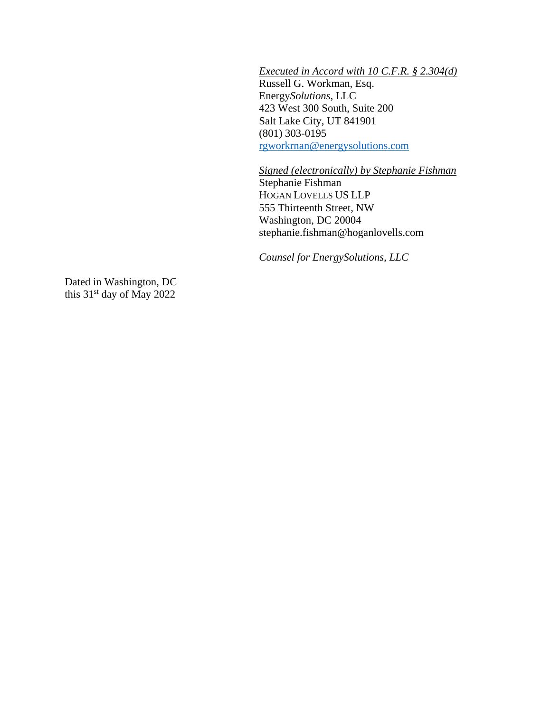*Executed in Accord with 10 C.F.R. § 2.304(d)*  Russell G. Workman, Esq. Energy*Solutions*, LLC 423 West 300 South, Suite 200 Salt Lake City, UT 841901 (801) 303-0195 [rgworkrnan@energysolutions.com](mailto:rgworkrnan@energysolutions.com)

*Signed (electronically) by Stephanie Fishman*  Stephanie Fishman HOGAN LOVELLS US LLP 555 Thirteenth Street, NW Washington, DC 20004 stephanie.fishman@hoganlovells.com

*Counsel for EnergySolutions, LLC* 

Dated in Washington, DC this 31<sup>st</sup> day of May 2022